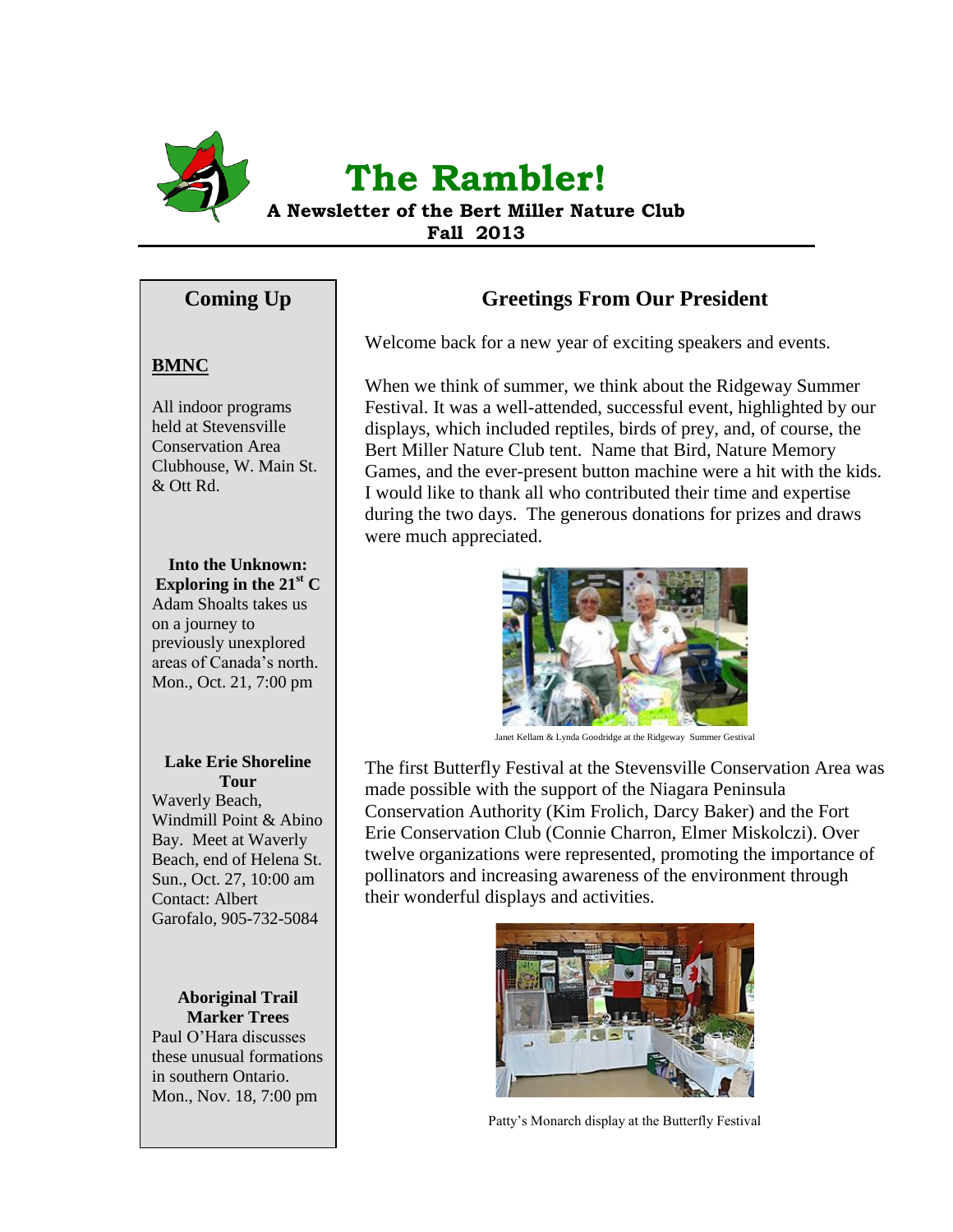

# **The Rambler!**

**A Newsletter of the Bert Miller Nature Club Fall 2013**

# **Coming Up**

## **BMNC**

All indoor programs held at Stevensville Conservation Area Clubhouse, W. Main St. & Ott Rd.

## **Into the Unknown:**

**Exploring in the 21<sup>st</sup> C** Adam Shoalts takes us on a journey to previously unexplored areas of Canada's north. Mon., Oct. 21, 7:00 pm

#### **Lake Erie Shoreline Tour**

Waverly Beach, Windmill Point & Abino Bay. Meet at Waverly Beach, end of Helena St. Sun., Oct. 27, 10:00 am Contact: Albert Garofalo, 905-732-5084

#### **Aboriginal Trail Marker Trees**

Paul O'Hara discusses these unusual formations in southern Ontario. Mon., Nov. 18, 7:00 pm

# **Greetings From Our President**

Welcome back for a new year of exciting speakers and events.

When we think of summer, we think about the Ridgeway Summer Festival. It was a well-attended, successful event, highlighted by our displays, which included reptiles, birds of prey, and, of course, the Bert Miller Nature Club tent. Name that Bird, Nature Memory Games, and the ever-present button machine were a hit with the kids. I would like to thank all who contributed their time and expertise during the two days. The generous donations for prizes and draws were much appreciated.



Janet Kellam & Lynda Goodridge at the Ridgeway Summer Gestival

The first Butterfly Festival at the Stevensville Conservation Area was made possible with the support of the Niagara Peninsula Conservation Authority (Kim Frolich, Darcy Baker) and the Fort Erie Conservation Club (Connie Charron, Elmer Miskolczi). Over twelve organizations were represented, promoting the importance of pollinators and increasing awareness of the environment through their wonderful displays and activities.



Patty's Monarch display at the Butterfly Festival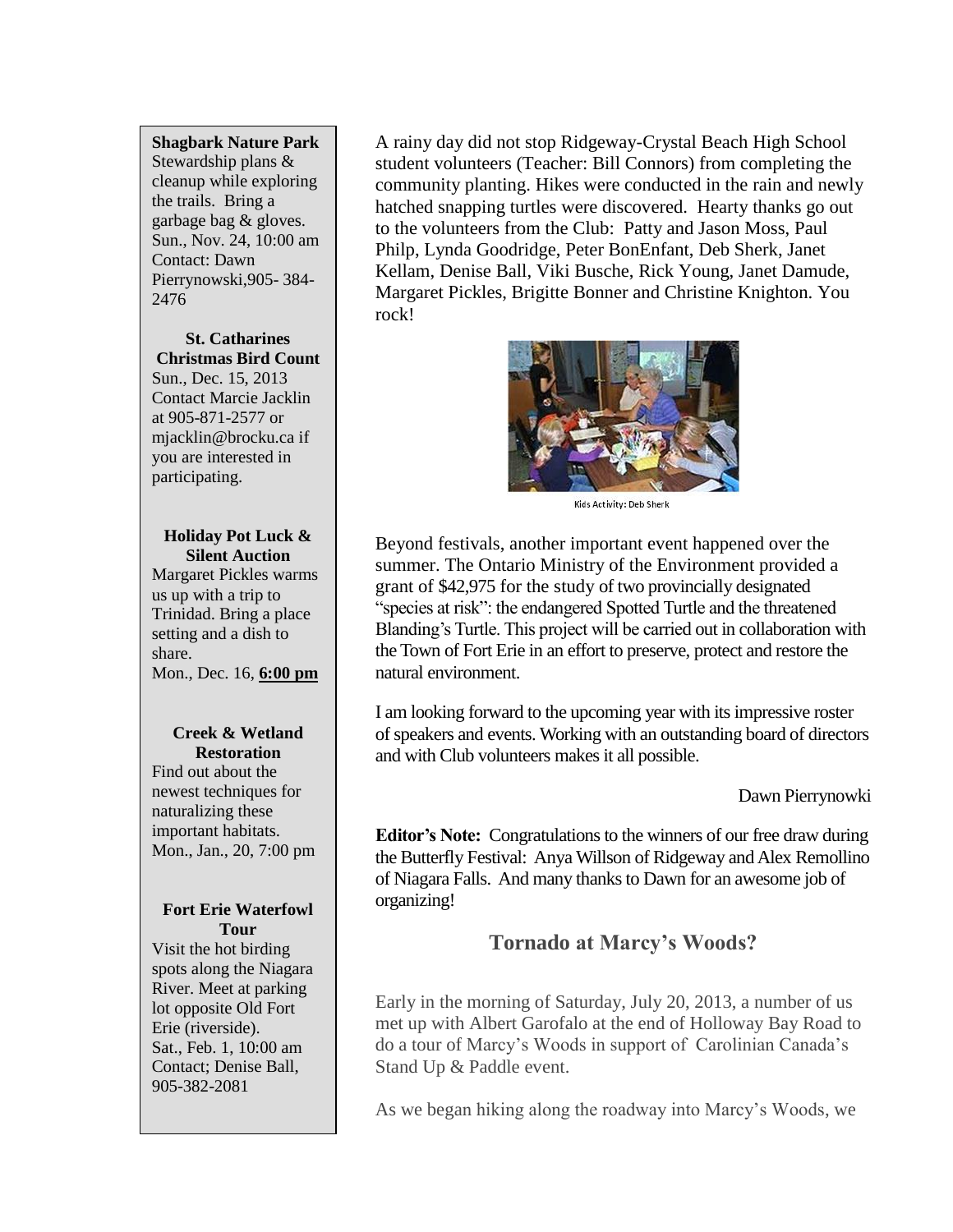#### **Shagbark Nature Park**

Stewardship plans & cleanup while exploring the trails. Bring a garbage bag & gloves. Sun., Nov. 24, 10:00 am Contact: Dawn Pierrynowski,905- 384- 2476

**St. Catharines Christmas Bird Count** Sun., Dec. 15, 2013 Contact Marcie Jacklin at 905-871-2577 or mjacklin@brocku.ca if you are interested in participating.

#### **Holiday Pot Luck & Silent Auction**

Margaret Pickles warms us up with a trip to Trinidad. Bring a place setting and a dish to share. Mon., Dec. 16, **6:00 pm**

#### **Creek & Wetland Restoration**

Find out about the newest techniques for naturalizing these important habitats. Mon., Jan., 20, 7:00 pm

#### **Fort Erie Waterfowl Tour**

Visit the hot birding spots along the Niagara River. Meet at parking lot opposite Old Fort Erie (riverside). Sat., Feb. 1, 10:00 am Contact; Denise Ball, 905-382-2081

A rainy day did not stop Ridgeway-Crystal Beach High School student volunteers (Teacher: Bill Connors) from completing the community planting. Hikes were conducted in the rain and newly hatched snapping turtles were discovered. Hearty thanks go out to the volunteers from the Club: Patty and Jason Moss, Paul Philp, Lynda Goodridge, Peter BonEnfant, Deb Sherk, Janet Kellam, Denise Ball, Viki Busche, Rick Young, Janet Damude, Margaret Pickles, Brigitte Bonner and Christine Knighton. You rock!



Kids Activity: Deb Sherk

Beyond festivals, another important event happened over the summer. The Ontario Ministry of the Environment provided a grant of \$42,975 for the study of two provincially designated "species at risk": the endangered Spotted Turtle and the threatened Blanding's Turtle. This project will be carried out in collaboration with the Town of Fort Erie in an effort to preserve, protect and restore the natural environment.

I am looking forward to the upcoming year with its impressive roster of speakers and events. Working with an outstanding board of directors and with Club volunteers makes it all possible.

Dawn Pierrynowki

**Editor's Note:** Congratulations to the winners of our free draw during the Butterfly Festival: Anya Willson of Ridgeway and Alex Remollino of Niagara Falls. And many thanks to Dawn for an awesome job of organizing!

# **Tornado at Marcy's Woods?**

Early in the morning of Saturday, July 20, 2013, a number of us met up with Albert Garofalo at the end of Holloway Bay Road to do a tour of Marcy's Woods in support of Carolinian Canada's Stand Up & Paddle event.

As we began hiking along the roadway into Marcy's Woods, we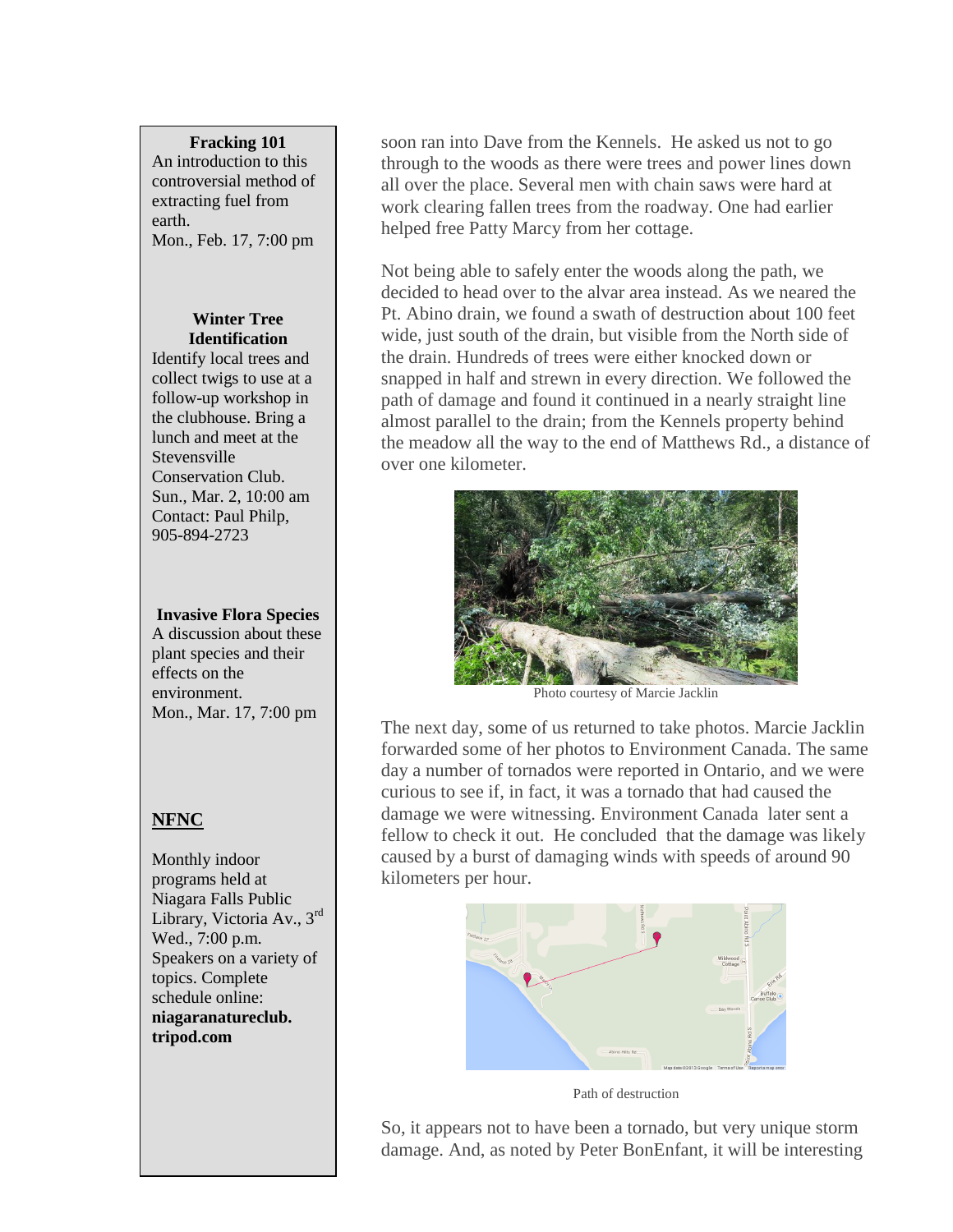#### **Fracking 101**

An introduction to this controversial method of extracting fuel from earth. Mon., Feb. 17, 7:00 pm

#### **Winter Tree Identification**

Identify local trees and collect twigs to use at a follow-up workshop in the clubhouse. Bring a lunch and meet at the Stevensville Conservation Club. Sun., Mar. 2, 10:00 am Contact: Paul Philp, 905-894-2723

**Invasive Flora Species** A discussion about these plant species and their effects on the environment. Mon., Mar. 17, 7:00 pm

## **NFNC**

Monthly indoor programs held at Niagara Falls Public Library, Victoria Av., 3rd Wed., 7:00 p.m. Speakers on a variety of topics. Complete schedule online: **niagaranatureclub. tripod.com**

soon ran into Dave from the Kennels. He asked us not to go through to the woods as there were trees and power lines down all over the place. Several men with chain saws were hard at work clearing fallen trees from the roadway. One had earlier helped free Patty Marcy from her cottage.

Not being able to safely enter the woods along the path, we decided to head over to the alvar area instead. As we neared the Pt. Abino drain, we found a swath of destruction about 100 feet wide, just south of the drain, but visible from the North side of the drain. Hundreds of trees were either knocked down or snapped in half and strewn in every direction. We followed the path of damage and found it continued in a nearly straight line almost parallel to the drain; from the Kennels property behind the meadow all the way to the end of Matthews Rd., a distance of over one kilometer.



Photo courtesy of Marcie Jacklin

The next day, some of us returned to take photos. Marcie Jacklin forwarded some of her photos to Environment Canada. The same day a number of tornados were reported in Ontario, and we were curious to see if, in fact, it was a tornado that had caused the damage we were witnessing. Environment Canada later sent a fellow to check it out. He concluded that the damage was likely caused by a burst of damaging winds with speeds of around 90 kilometers per hour.



Path of destruction

So, it appears not to have been a tornado, but very unique storm damage. And, as noted by Peter BonEnfant, it will be interesting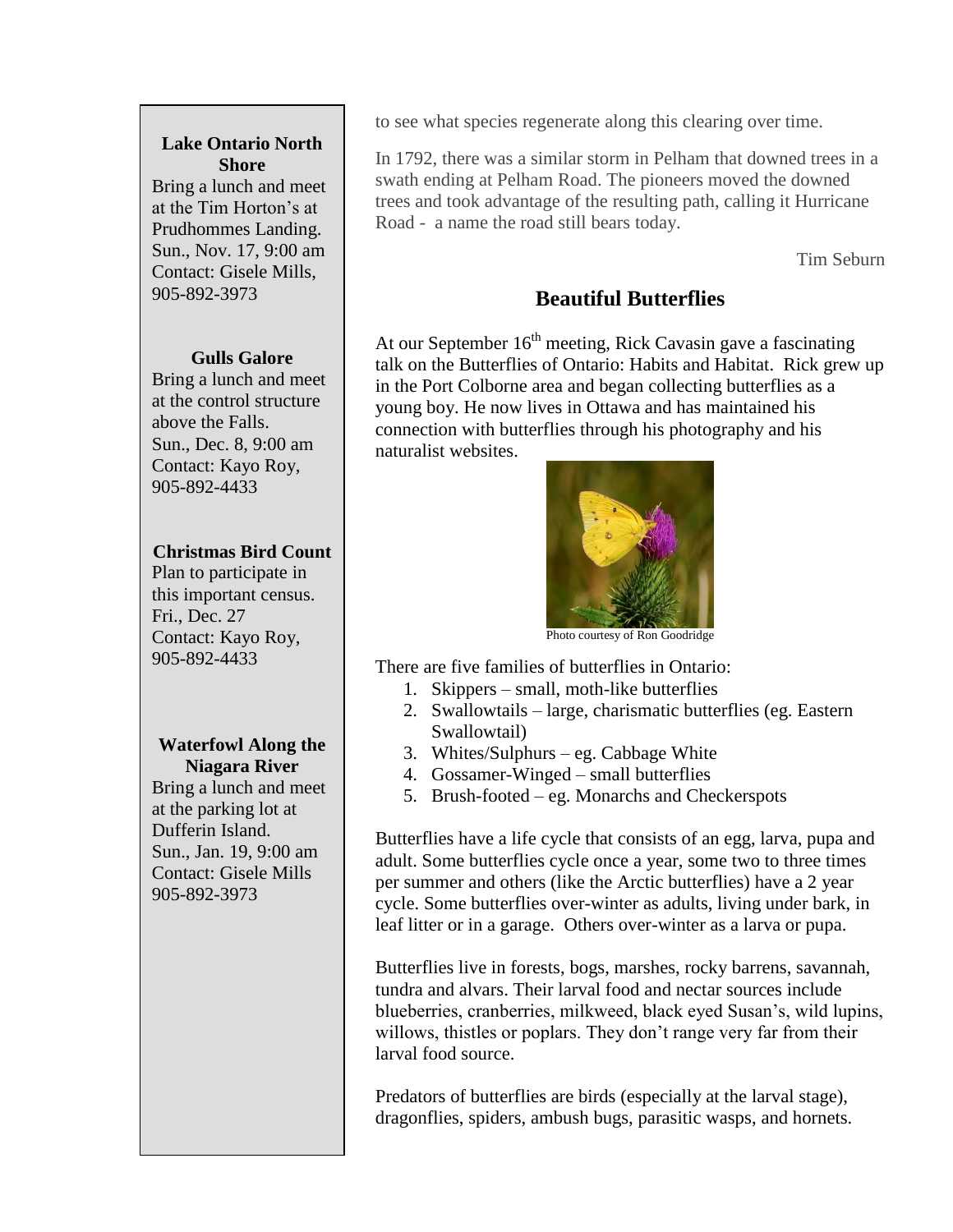#### **Lake Ontario North Shore**

Bring a lunch and meet at the Tim Horton's at Prudhommes Landing. Sun., Nov. 17, 9:00 am Contact: Gisele Mills, 905-892-3973

#### **Gulls Galore**

Bring a lunch and meet at the control structure above the Falls. Sun., Dec. 8, 9:00 am Contact: Kayo Roy, 905-892-4433

## **Christmas Bird Count**

Plan to participate in this important census. Fri., Dec. 27 Contact: Kayo Roy, 905-892-4433

#### **Waterfowl Along the Niagara River**

Bring a lunch and meet at the parking lot at Dufferin Island. Sun., Jan. 19, 9:00 am Contact: Gisele Mills 905-892-3973

to see what species regenerate along this clearing over time.

In 1792, there was a similar storm in Pelham that downed trees in a swath ending at Pelham Road. The pioneers moved the downed trees and took advantage of the resulting path, calling it Hurricane Road - a name the road still bears today.

Tim Seburn

# **Beautiful Butterflies**

At our September  $16<sup>th</sup>$  meeting, Rick Cavasin gave a fascinating talk on the Butterflies of Ontario: Habits and Habitat. Rick grew up in the Port Colborne area and began collecting butterflies as a young boy. He now lives in Ottawa and has maintained his connection with butterflies through his photography and his naturalist websites.



Photo courtesy of Ron Goodridge

There are five families of butterflies in Ontario:

- 1. Skippers small, moth-like butterflies
- 2. Swallowtails large, charismatic butterflies (eg. Eastern Swallowtail)
- 3. Whites/Sulphurs eg. Cabbage White
- 4. Gossamer-Winged small butterflies
- 5. Brush-footed eg. Monarchs and Checkerspots

Butterflies have a life cycle that consists of an egg, larva, pupa and adult. Some butterflies cycle once a year, some two to three times per summer and others (like the Arctic butterflies) have a 2 year cycle. Some butterflies over-winter as adults, living under bark, in leaf litter or in a garage. Others over-winter as a larva or pupa.

Butterflies live in forests, bogs, marshes, rocky barrens, savannah, tundra and alvars. Their larval food and nectar sources include blueberries, cranberries, milkweed, black eyed Susan's, wild lupins, willows, thistles or poplars. They don't range very far from their larval food source.

Predators of butterflies are birds (especially at the larval stage), dragonflies, spiders, ambush bugs, parasitic wasps, and hornets.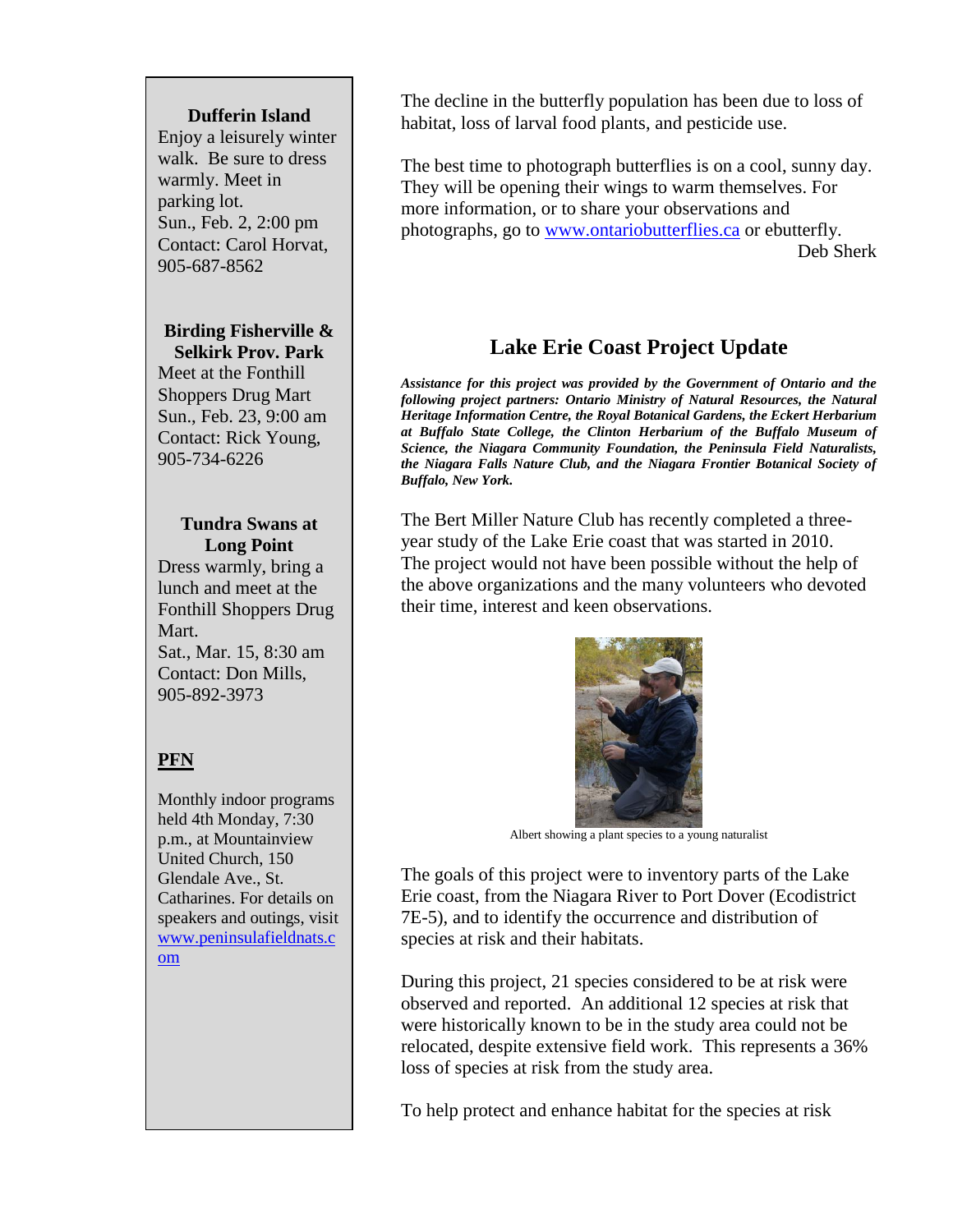#### **Dufferin Island**

Enjoy a leisurely winter walk. Be sure to dress warmly. Meet in parking lot. Sun., Feb. 2, 2:00 pm Contact: Carol Horvat, 905-687-8562

#### **Birding Fisherville & Selkirk Prov. Park**

Meet at the Fonthill Shoppers Drug Mart Sun., Feb. 23, 9:00 am Contact: Rick Young, 905-734-6226

#### **Tundra Swans at Long Point**

Dress warmly, bring a lunch and meet at the Fonthill Shoppers Drug Mart. Sat., Mar. 15, 8:30 am Contact: Don Mills, 905-892-3973

## **PFN**

Monthly indoor programs held 4th Monday, 7:30 p.m., at Mountainview United Church, 150 Glendale Ave., St. Catharines. For details on speakers and outings, visit [www.peninsulafieldnats.c](http://www.peninsulafieldnats.com/) [om](http://www.peninsulafieldnats.com/)

The decline in the butterfly population has been due to loss of habitat, loss of larval food plants, and pesticide use.

The best time to photograph butterflies is on a cool, sunny day. They will be opening their wings to warm themselves. For more information, or to share your observations and photographs, go to [www.ontariobutterflies.ca](http://www.ontariobutterflies.ca/) or ebutterfly. Deb Sherk

# **Lake Erie Coast Project Update**

*Assistance for this project was provided by the Government of Ontario and the following project partners: Ontario Ministry of Natural Resources, the Natural Heritage Information Centre, the Royal Botanical Gardens, the Eckert Herbarium at Buffalo State College, the Clinton Herbarium of the Buffalo Museum of Science, the Niagara Community Foundation, the Peninsula Field Naturalists, the Niagara Falls Nature Club, and the Niagara Frontier Botanical Society of Buffalo, New York.*

The Bert Miller Nature Club has recently completed a threeyear study of the Lake Erie coast that was started in 2010. The project would not have been possible without the help of the above organizations and the many volunteers who devoted their time, interest and keen observations.



Albert showing a plant species to a young naturalist

The goals of this project were to inventory parts of the Lake Erie coast, from the Niagara River to Port Dover (Ecodistrict 7E-5), and to identify the occurrence and distribution of species at risk and their habitats.

During this project, 21 species considered to be at risk were observed and reported. An additional 12 species at risk that were historically known to be in the study area could not be relocated, despite extensive field work. This represents a 36% loss of species at risk from the study area.

To help protect and enhance habitat for the species at risk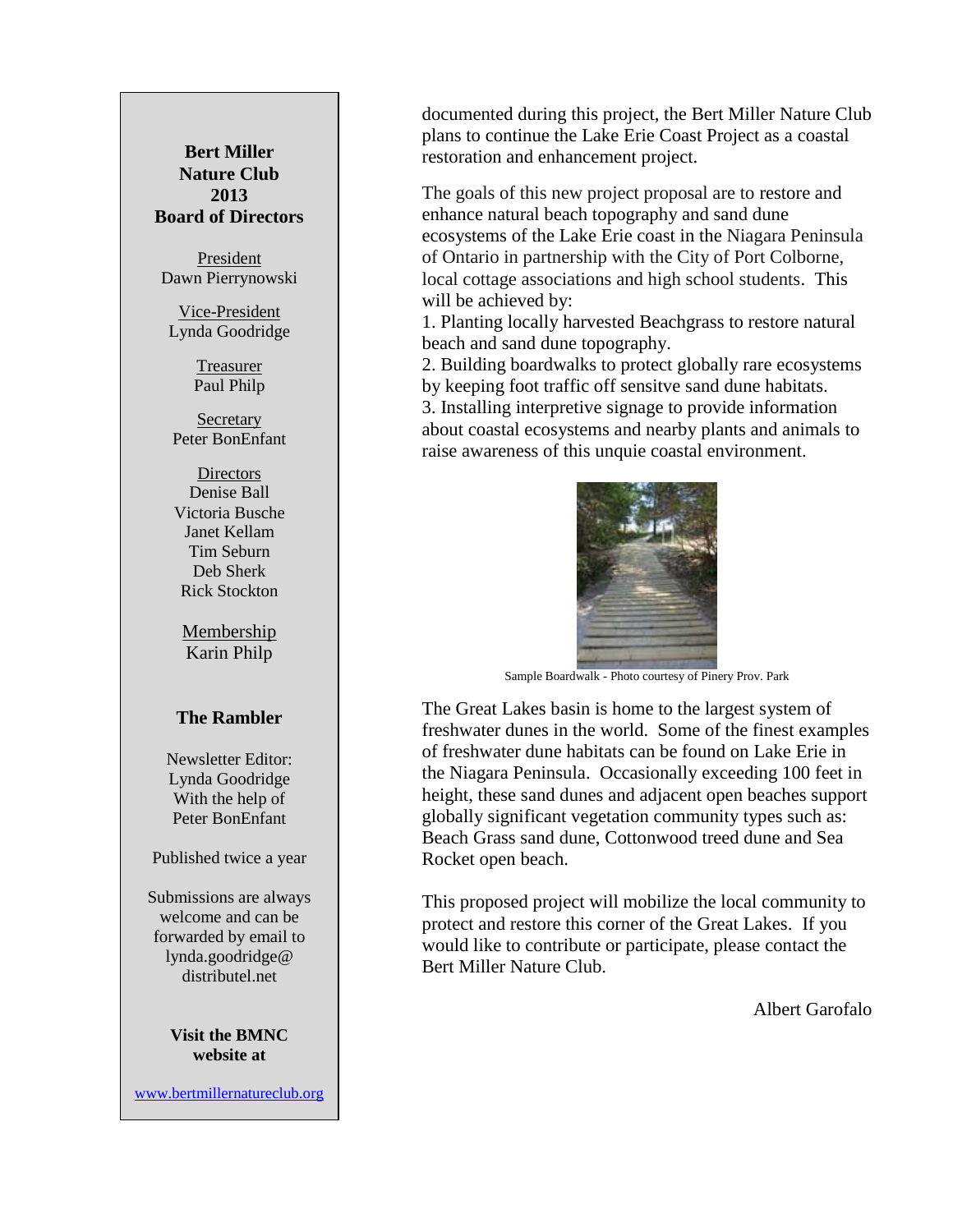#### **Bert Miller Nature Club 2013 Board of Directors**

President Dawn Pierrynowski

Vice-President Lynda Goodridge

> Treasurer Paul Philp

**Secretary** Peter BonEnfant

Directors Denise Ball Victoria Busche Janet Kellam Tim Seburn Deb Sherk Rick Stockton

Membership Karin Philp

#### **The Rambler**

Newsletter Editor: Lynda Goodridge With the help of Peter BonEnfant

Published twice a year

Submissions are always welcome and can be forwarded by email to lynda.goodridge@ distributel net

> **Visit the BMNC website at**

[www.bertmillernatureclub.org](http://www.bertmillernatureclub.org/)

documented during this project, the Bert Miller Nature Club plans to continue the Lake Erie Coast Project as a coastal restoration and enhancement project.

The goals of this new project proposal are to restore and enhance natural beach topography and sand dune ecosystems of the Lake Erie coast in the Niagara Peninsula of Ontario in partnership with the City of Port Colborne, local cottage associations and high school students. This will be achieved by:

1. Planting locally harvested Beachgrass to restore natural beach and sand dune topography.

2. Building boardwalks to protect globally rare ecosystems by keeping foot traffic off sensitve sand dune habitats. 3. Installing interpretive signage to provide information about coastal ecosystems and nearby plants and animals to raise awareness of this unquie coastal environment.



Sample Boardwalk - Photo courtesy of Pinery Prov. Park

The Great Lakes basin is home to the largest system of freshwater dunes in the world. Some of the finest examples of freshwater dune habitats can be found on Lake Erie in the Niagara Peninsula. Occasionally exceeding 100 feet in height, these sand dunes and adjacent open beaches support globally significant vegetation community types such as: Beach Grass sand dune, Cottonwood treed dune and Sea Rocket open beach.

This proposed project will mobilize the local community to protect and restore this corner of the Great Lakes. If you would like to contribute or participate, please contact the Bert Miller Nature Club.

Albert Garofalo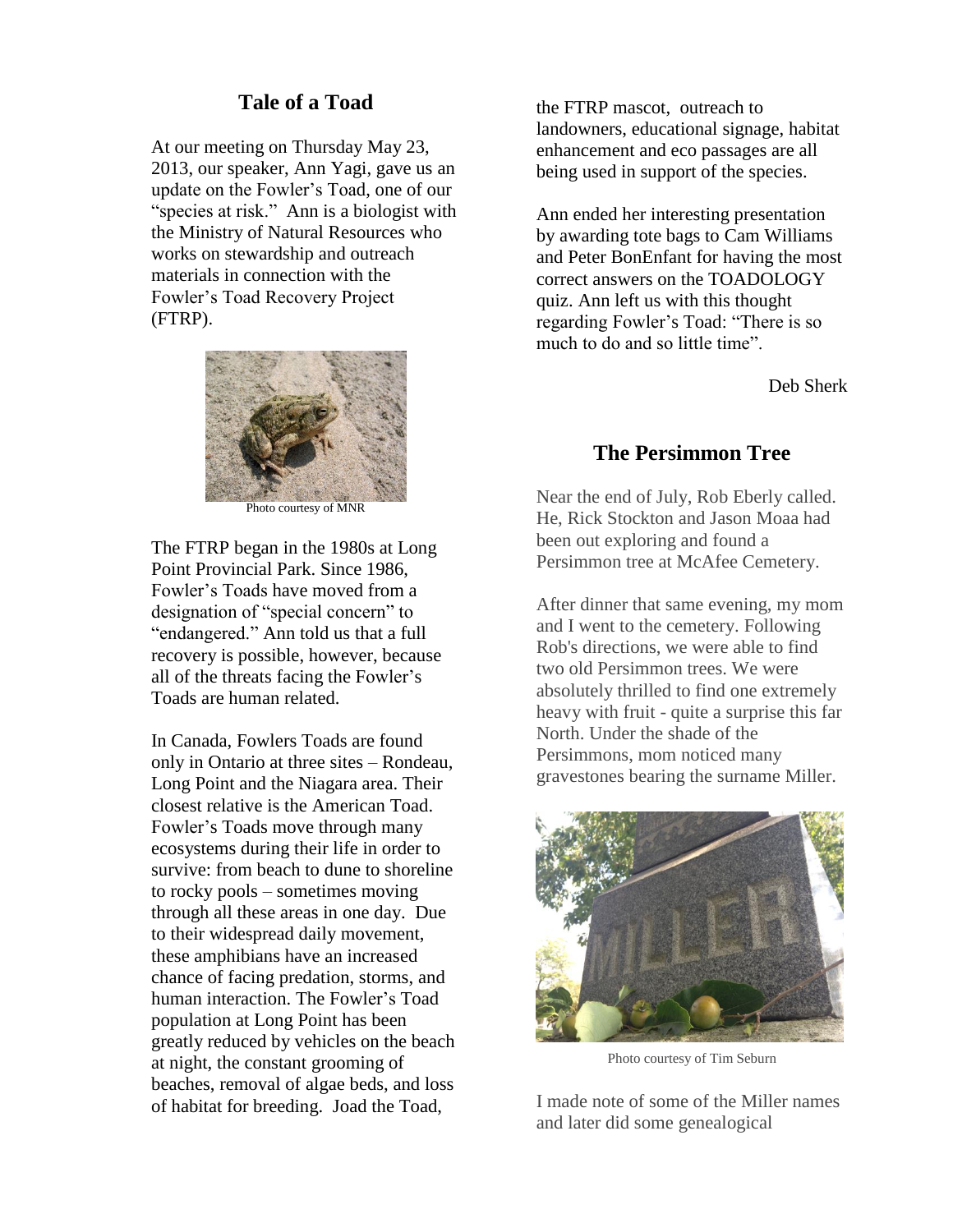## **Tale of a Toad**

At our meeting on Thursday May 23, 2013, our speaker, Ann Yagi, gave us an update on the Fowler's Toad, one of our "species at risk." Ann is a biologist with the Ministry of Natural Resources who works on stewardship and outreach materials in connection with the Fowler's Toad Recovery Project (FTRP).



Photo courtesy of MNR

The FTRP began in the 1980s at Long Point Provincial Park. Since 1986, Fowler's Toads have moved from a designation of "special concern" to "endangered." Ann told us that a full recovery is possible, however, because all of the threats facing the Fowler's Toads are human related.

In Canada, Fowlers Toads are found only in Ontario at three sites – Rondeau, Long Point and the Niagara area. Their closest relative is the American Toad. Fowler's Toads move through many ecosystems during their life in order to survive: from beach to dune to shoreline to rocky pools – sometimes moving through all these areas in one day. Due to their widespread daily movement, these amphibians have an increased chance of facing predation, storms, and human interaction. The Fowler's Toad population at Long Point has been greatly reduced by vehicles on the beach at night, the constant grooming of beaches, removal of algae beds, and loss of habitat for breeding. Joad the Toad,

the FTRP mascot, outreach to landowners, educational signage, habitat enhancement and eco passages are all being used in support of the species.

Ann ended her interesting presentation by awarding tote bags to Cam Williams and Peter BonEnfant for having the most correct answers on the TOADOLOGY quiz. Ann left us with this thought regarding Fowler's Toad: "There is so much to do and so little time".

Deb Sherk

## **The Persimmon Tree**

Near the end of July, Rob Eberly called. He, Rick Stockton and Jason Moaa had been out exploring and found a Persimmon tree at McAfee Cemetery.

After dinner that same evening, my mom and I went to the cemetery. Following Rob's directions, we were able to find two old Persimmon trees. We were absolutely thrilled to find one extremely heavy with fruit - quite a surprise this far North. Under the shade of the Persimmons, mom noticed many gravestones bearing the surname Miller.



Photo courtesy of Tim Seburn

I made note of some of the Miller names and later did some genealogical